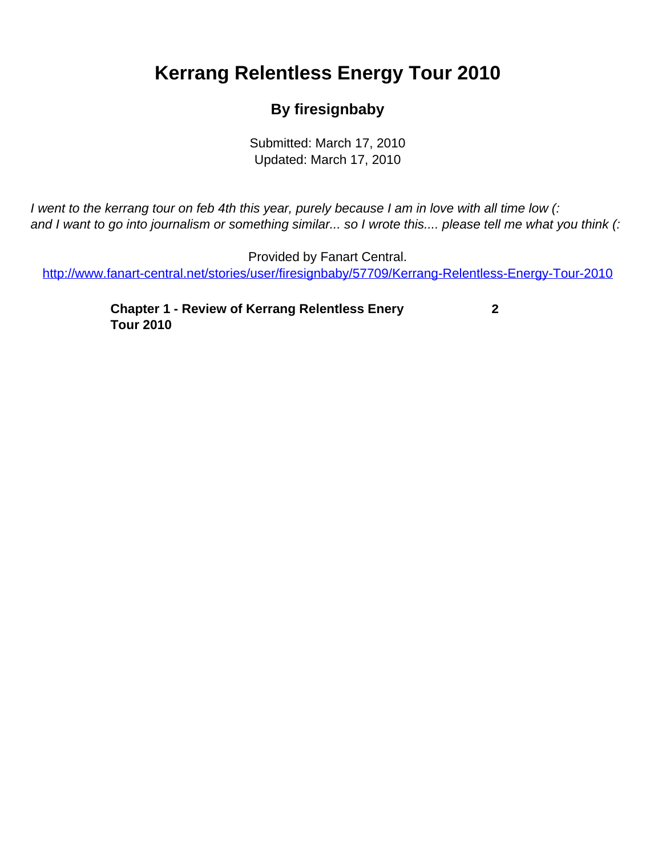## <span id="page-0-0"></span>**Kerrang Relentless Energy Tour 2010**

## **By firesignbaby**

Submitted: March 17, 2010 Updated: March 17, 2010

I went to the kerrang tour on feb 4th this year, purely because I am in love with all time low (: and I want to go into journalism or something similar... so I wrote this.... please tell me what you think (:

Provided by Fanart Central. [http://www.fanart-central.net/stories/user/firesignbaby/57709/Kerrang-Relentless-Energy-Tour-2010](#page-0-0)

> **[Chapter 1 - Review of Kerrang Relentless Enery](#page-1-0) [Tour 2010](#page-1-0)**

 **[2](#page-1-0)**